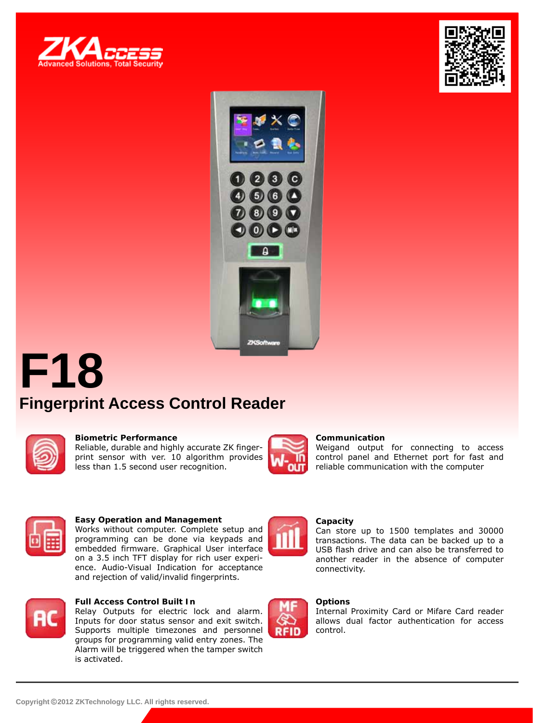





# **F18 Fingerprint Access Control Reader**



#### **Biometric Performance**

Reliable, durable and highly accurate ZK fingerprint sensor with ver. 10 algorithm provides less than 1.5 second user recognition.



#### **Communication**

Weigand output for connecting to access control panel and Ethernet port for fast and reliable communication with the computer



#### **Easy Operation and Management**

Works without computer. Complete setup and programming can be done via keypads and embedded firmware. Graphical User interface on a 3.5 inch TFT display for rich user experience. Audio-Visual Indication for acceptance and rejection of valid/invalid fingerprints.



#### **Full Access Control Built In**

Relay Outputs for electric lock and alarm. Inputs for door status sensor and exit switch. Supports multiple timezones and personnel groups for programming valid entry zones. The Alarm will be triggered when the tamper switch is activated.



## **Capacity**

Can store up to 1500 templates and 30000 transactions. The data can be backed up to a USB flash drive and can also be transferred to another reader in the absence of computer connectivity.



#### **Options**

Internal Proximity Card or Mifare Card reader allows dual factor authentication for access control.